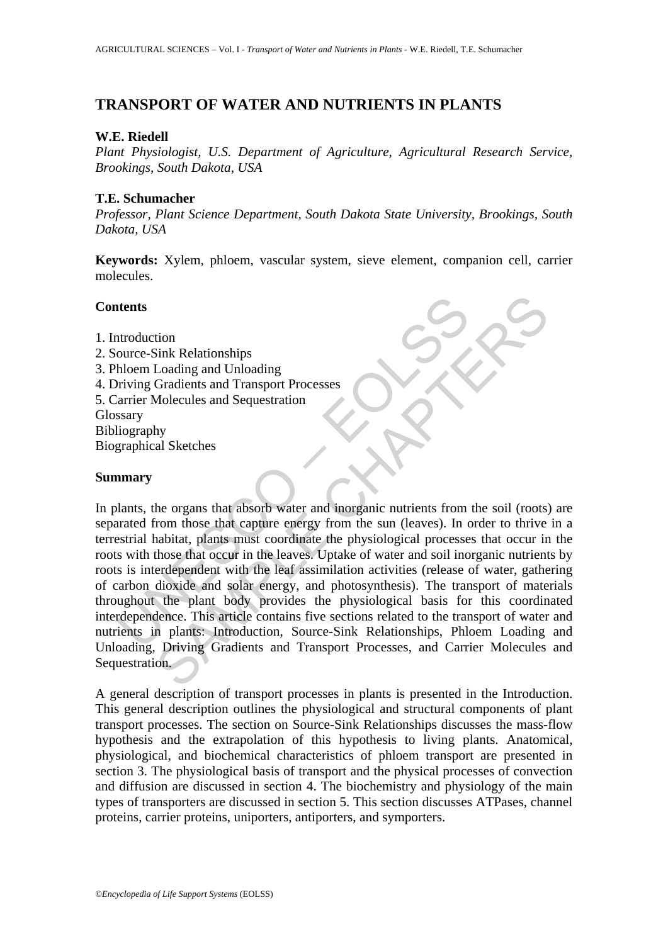# **TRANSPORT OF WATER AND NUTRIENTS IN PLANTS**

#### **W.E. Riedell**

*Plant Physiologist, U.S. Department of Agriculture, Agricultural Research Service, Brookings, South Dakota, USA*

#### **T.E. Schumacher**

*Professor, Plant Science Department, South Dakota State University, Brookings, South Dakota, USA*

**Keywords:** Xylem, phloem, vascular system, sieve element, companion cell, carrier molecules.

## **Contents**

- 1. Introduction
- 2. Source-Sink Relationships
- 3. Phloem Loading and Unloading
- 4. Driving Gradients and Transport Processes
- 5. Carrier Molecules and Sequestration Glossary Bibliography
- Biographical Sketches

## **Summary**

**Example 18 and Set of the Mathematical Set of the Conservant Philom Colding**<br>
Independent Dading<br>
Interior Conduction<br>
The Gradients and Transport Processes<br>
The Virgin Cardients and Sequestration<br>
Sextral habitat, plants The Melationships<br>
Sink Relationships<br>
Loading and Unloading<br>
Cradients and Transport Processes<br>
Molecules and Sequestration<br>
hy<br>
al Sketches<br>
Show and Sequestration<br>
hy<br>
al Sketches<br>
Show and the comparison of the sum (le In plants, the organs that absorb water and inorganic nutrients from the soil (roots) are separated from those that capture energy from the sun (leaves). In order to thrive in a terrestrial habitat, plants must coordinate the physiological processes that occur in the roots with those that occur in the leaves. Uptake of water and soil inorganic nutrients by roots is interdependent with the leaf assimilation activities (release of water, gathering of carbon dioxide and solar energy, and photosynthesis). The transport of materials throughout the plant body provides the physiological basis for this coordinated interdependence. This article contains five sections related to the transport of water and nutrients in plants: Introduction, Source-Sink Relationships, Phloem Loading and Unloading, Driving Gradients and Transport Processes, and Carrier Molecules and Sequestration.

A general description of transport processes in plants is presented in the Introduction. This general description outlines the physiological and structural components of plant transport processes. The section on Source-Sink Relationships discusses the mass-flow hypothesis and the extrapolation of this hypothesis to living plants. Anatomical, physiological, and biochemical characteristics of phloem transport are presented in section 3. The physiological basis of transport and the physical processes of convection and diffusion are discussed in section 4. The biochemistry and physiology of the main types of transporters are discussed in section 5. This section discusses ATPases, channel proteins, carrier proteins, uniporters, antiporters, and symporters.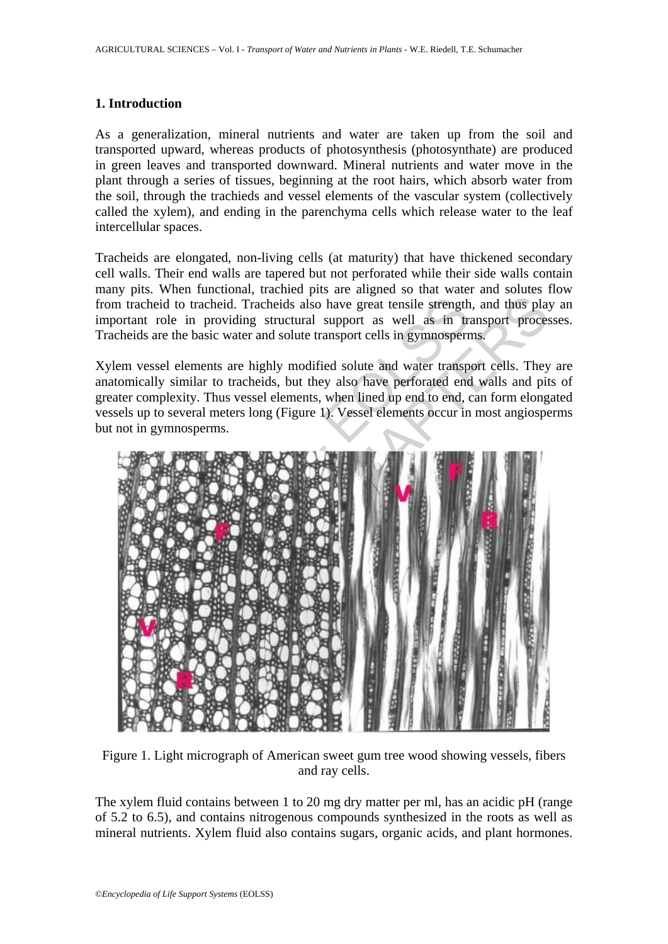#### **1. Introduction**

As a generalization, mineral nutrients and water are taken up from the soil and transported upward, whereas products of photosynthesis (photosynthate) are produced in green leaves and transported downward. Mineral nutrients and water move in the plant through a series of tissues, beginning at the root hairs, which absorb water from the soil, through the trachieds and vessel elements of the vascular system (collectively called the xylem), and ending in the parenchyma cells which release water to the leaf intercellular spaces.

Tracheids are elongated, non-living cells (at maturity) that have thickened secondary cell walls. Their end walls are tapered but not perforated while their side walls contain many pits. When functional, trachied pits are aligned so that water and solutes flow from tracheid to tracheid. Tracheids also have great tensile strength, and thus play an important role in providing structural support as well as in transport processes. Tracheids are the basic water and solute transport cells in gymnosperms.

Xylem vessel elements are highly modified solute and water transport cells. They are anatomically similar to tracheids, but they also have perforated end walls and pits of greater complexity. Thus vessel elements, when lined up end to end, can form elongated vessels up to several meters long (Figure 1). Vessel elements occur in most angiosperms but not in gymnosperms.



Figure 1. Light micrograph of American sweet gum tree wood showing vessels, fibers and ray cells.

The xylem fluid contains between 1 to 20 mg dry matter per ml, has an acidic pH (range of 5.2 to 6.5), and contains nitrogenous compounds synthesized in the roots as well as mineral nutrients. Xylem fluid also contains sugars, organic acids, and plant hormones.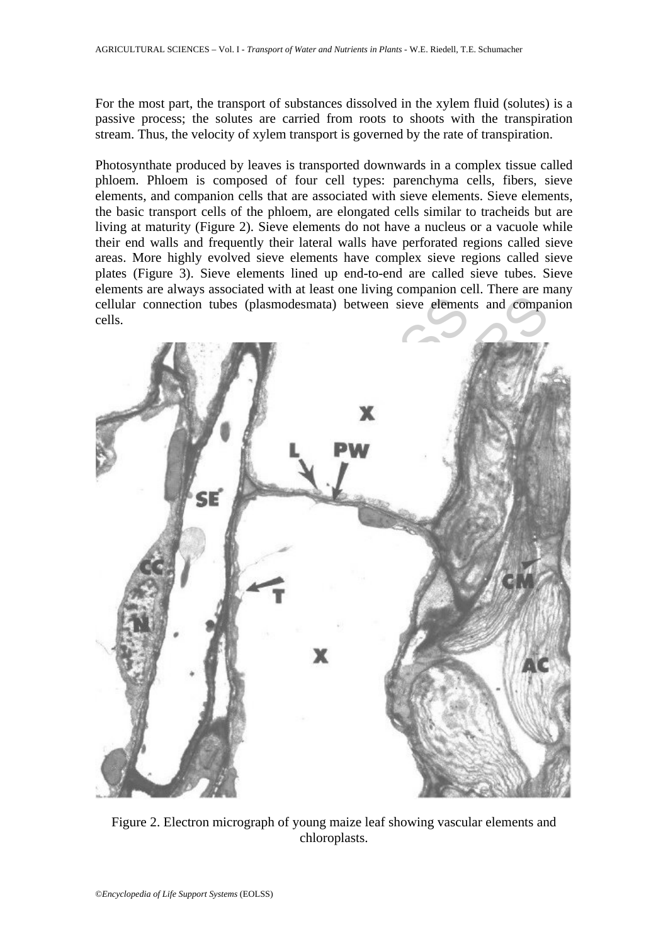For the most part, the transport of substances dissolved in the xylem fluid (solutes) is a passive process; the solutes are carried from roots to shoots with the transpiration stream. Thus, the velocity of xylem transport is governed by the rate of transpiration.

Photosynthate produced by leaves is transported downwards in a complex tissue called phloem. Phloem is composed of four cell types: parenchyma cells, fibers, sieve elements, and companion cells that are associated with sieve elements. Sieve elements, the basic transport cells of the phloem, are elongated cells similar to tracheids but are living at maturity (Figure 2). Sieve elements do not have a nucleus or a vacuole while their end walls and frequently their lateral walls have perforated regions called sieve areas. More highly evolved sieve elements have complex sieve regions called sieve plates (Figure 3). Sieve elements lined up end-to-end are called sieve tubes. Sieve elements are always associated with at least one living companion cell. There are many cellular connection tubes (plasmodesmata) between sieve elements and companion cells.



Figure 2. Electron micrograph of young maize leaf showing vascular elements and chloroplasts.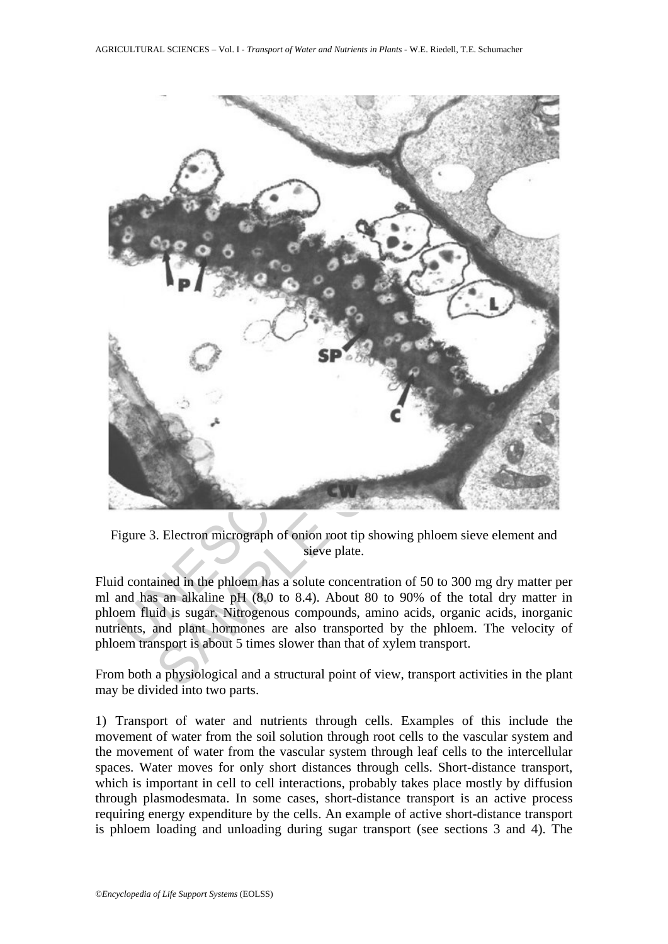

Figure 3. Electron micrograph of onion root tip showing phloem sieve element and sieve plate.

Fluid contained in the phloem has a solute concentration of 50 to 300 mg dry matter per ml and has an alkaline pH (8.0 to 8.4). About 80 to 90% of the total dry matter in phloem fluid is sugar. Nitrogenous compounds, amino acids, organic acids, inorganic nutrients, and plant hormones are also transported by the phloem. The velocity of phloem transport is about 5 times slower than that of xylem transport.

From both a physiological and a structural point of view, transport activities in the plant may be divided into two parts.

1) Transport of water and nutrients through cells. Examples of this include the movement of water from the soil solution through root cells to the vascular system and the movement of water from the vascular system through leaf cells to the intercellular spaces. Water moves for only short distances through cells. Short-distance transport, which is important in cell to cell interactions, probably takes place mostly by diffusion through plasmodesmata. In some cases, short-distance transport is an active process requiring energy expenditure by the cells. An example of active short-distance transport is phloem loading and unloading during sugar transport (see sections 3 and 4). The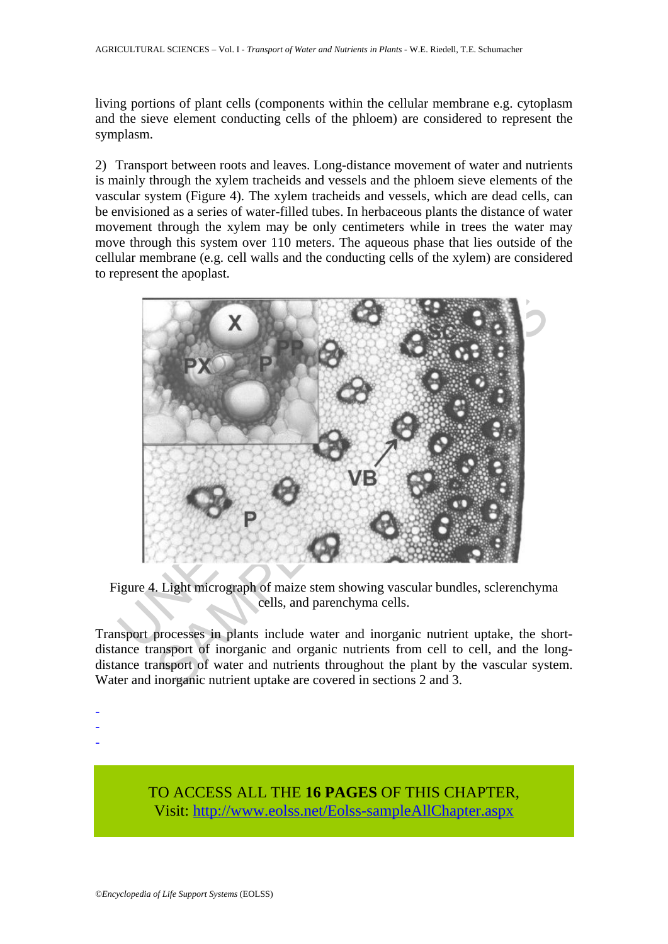living portions of plant cells (components within the cellular membrane e.g. cytoplasm and the sieve element conducting cells of the phloem) are considered to represent the symplasm.

2) Transport between roots and leaves. Long-distance movement of water and nutrients is mainly through the xylem tracheids and vessels and the phloem sieve elements of the vascular system (Figure 4). The xylem tracheids and vessels, which are dead cells, can be envisioned as a series of water-filled tubes. In herbaceous plants the distance of water movement through the xylem may be only centimeters while in trees the water may move through this system over 110 meters. The aqueous phase that lies outside of the cellular membrane (e.g. cell walls and the conducting cells of the xylem) are considered to represent the apoplast.



Figure 4. Light micrograph of maize stem showing vascular bundles, sclerenchyma cells, and parenchyma cells.

Transport processes in plants include water and inorganic nutrient uptake, the shortdistance transport of inorganic and organic nutrients from cell to cell, and the longdistance transport of water and nutrients throughout the plant by the vascular system. Water and inorganic nutrient uptake are covered in sections 2 and 3.

-

- -
- -

TO ACCESS ALL THE **16 PAGES** OF THIS CHAPTER, Visit: [http://www.eolss.net/Eolss-sampleAllChapter.aspx](https://www.eolss.net/ebooklib/sc_cart.aspx?File=E5-24-04-05)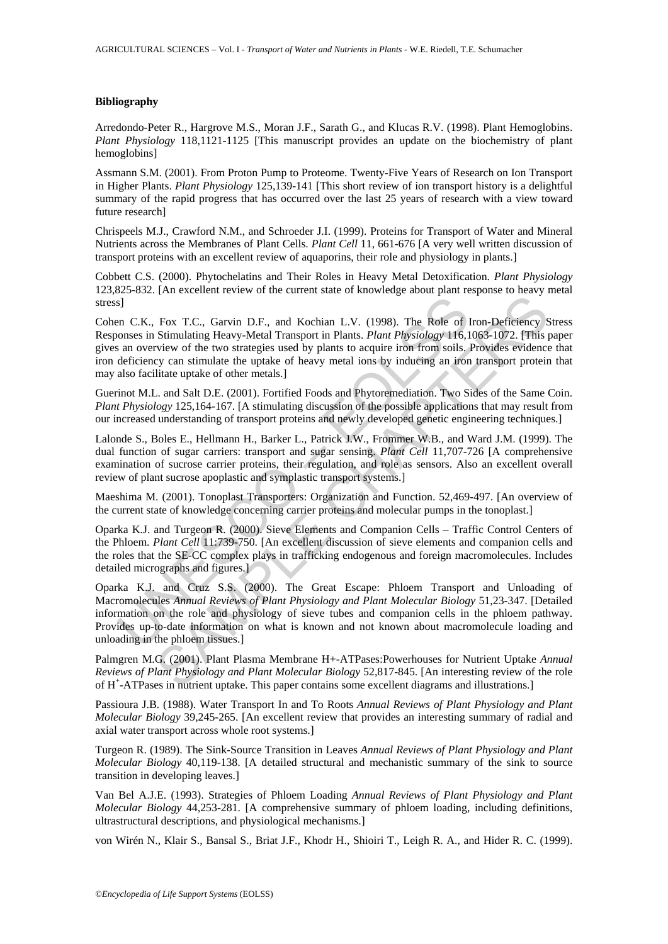#### **Bibliography**

Arredondo-Peter R., Hargrove M.S., Moran J.F., Sarath G., and Klucas R.V. (1998). Plant Hemoglobins. *Plant Physiology* 118,1121-1125 [This manuscript provides an update on the biochemistry of plant hemoglobins]

Assmann S.M. (2001). From Proton Pump to Proteome. Twenty-Five Years of Research on Ion Transport in Higher Plants. *Plant Physiology* 125,139-141 [This short review of ion transport history is a delightful summary of the rapid progress that has occurred over the last 25 years of research with a view toward future research]

Chrispeels M.J., Crawford N.M., and Schroeder J.I. (1999). Proteins for Transport of Water and Mineral Nutrients across the Membranes of Plant Cells. *Plant Cell* 11, 661-676 [A very well written discussion of transport proteins with an excellent review of aquaporins, their role and physiology in plants.]

Cobbett C.S. (2000). Phytochelatins and Their Roles in Heavy Metal Detoxification. *Plant Physiology* 123,825-832. [An excellent review of the current state of knowledge about plant response to heavy metal stress]

s]<br>
an C.K., Fox T.C., Garvin D.F., and Kochian L.V. (1998). The Role of nonsess in Stimulating Heavy-Metal Transport in Plants. *Plant Physiology* 116, an<br>
a on overview of the two strategies used by plants to acquire iro For T.C., Garvin D.F., and Kochian L.V. (1998). The Role of Iron-Deficiency S<br>Simulating Heavy-Metal Transport in Plans. Plant Physiology 116,1063-1072. [This procedure induction the two strategies used by plants to acqui Cohen C.K., Fox T.C., Garvin D.F., and Kochian L.V. (1998). The Role of Iron-Deficiency Stress Responses in Stimulating Heavy-Metal Transport in Plants. *Plant Physiology* 116,1063-1072. [This paper gives an overview of the two strategies used by plants to acquire iron from soils. Provides evidence that iron deficiency can stimulate the uptake of heavy metal ions by inducing an iron transport protein that may also facilitate uptake of other metals.]

Guerinot M.L. and Salt D.E. (2001). Fortified Foods and Phytoremediation. Two Sides of the Same Coin. *Plant Physiology* 125,164-167. [A stimulating discussion of the possible applications that may result from our increased understanding of transport proteins and newly developed genetic engineering techniques.]

Lalonde S., Boles E., Hellmann H., Barker L., Patrick J.W., Frommer W.B., and Ward J.M. (1999). The dual function of sugar carriers: transport and sugar sensing. *Plant Cell* 11,707-726 [A comprehensive examination of sucrose carrier proteins, their regulation, and role as sensors. Also an excellent overall review of plant sucrose apoplastic and symplastic transport systems.]

Maeshima M. (2001). Tonoplast Transporters: Organization and Function. 52,469-497. [An overview of the current state of knowledge concerning carrier proteins and molecular pumps in the tonoplast.]

Oparka K.J. and Turgeon R. (2000). Sieve Elements and Companion Cells – Traffic Control Centers of the Phloem. *Plant Cell* 11:739-750. [An excellent discussion of sieve elements and companion cells and the roles that the SE-CC complex plays in trafficking endogenous and foreign macromolecules. Includes detailed micrographs and figures.]

Oparka K.J. and Cruz S.S. (2000). The Great Escape: Phloem Transport and Unloading of Macromolecules *Annual Reviews of Plant Physiology and Plant Molecular Biology* 51,23-347. [Detailed information on the role and physiology of sieve tubes and companion cells in the phloem pathway. Provides up-to-date information on what is known and not known about macromolecule loading and unloading in the phloem tissues.]

Palmgren M.G. (2001). Plant Plasma Membrane H+-ATPases:Powerhouses for Nutrient Uptake *Annual Reviews of Plant Physiology and Plant Molecular Biology* 52,817-845. [An interesting review of the role of H<sup>+</sup>-ATPases in nutrient uptake. This paper contains some excellent diagrams and illustrations.]

Passioura J.B. (1988). Water Transport In and To Roots *Annual Reviews of Plant Physiology and Plant Molecular Biology* 39,245-265. [An excellent review that provides an interesting summary of radial and axial water transport across whole root systems.]

Turgeon R. (1989). The Sink-Source Transition in Leaves *Annual Reviews of Plant Physiology and Plant Molecular Biology* 40,119-138. [A detailed structural and mechanistic summary of the sink to source transition in developing leaves.]

Van Bel A.J.E. (1993). Strategies of Phloem Loading *Annual Reviews of Plant Physiology and Plant Molecular Biology* 44,253-281. [A comprehensive summary of phloem loading, including definitions, ultrastructural descriptions, and physiological mechanisms.]

von Wirén N., Klair S., Bansal S., Briat J.F., Khodr H., Shioiri T., Leigh R. A., and Hider R. C. (1999).